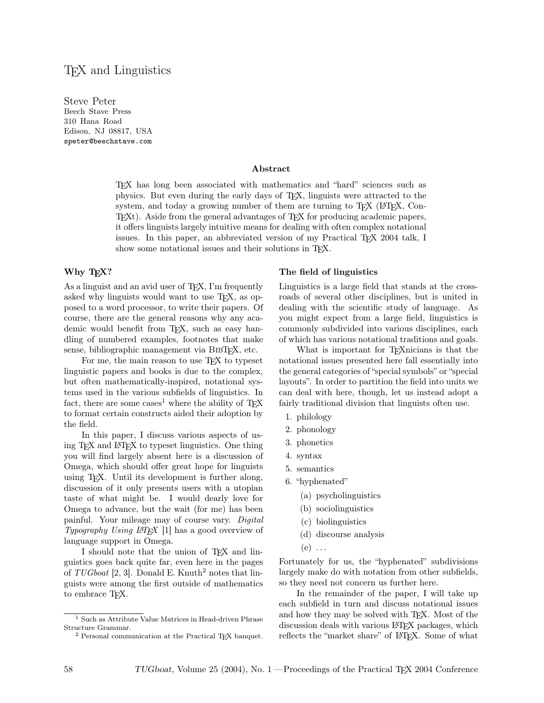# TEX and Linguistics

Steve Peter Beech Stave Press 310 Hana Road Edison, NJ 08817, USA speter@beechstave.com

#### Abstract

TEX has long been associated with mathematics and "hard" sciences such as physics. But even during the early days of TEX, linguists were attracted to the system, and today a growing number of them are turning to  $T_{F}X$  (LAT<sub>EX</sub>, Con-TEXt). Aside from the general advantages of TEX for producing academic papers, it offers linguists largely intuitive means for dealing with often complex notational issues. In this paper, an abbreviated version of my Practical T<sub>F</sub>X 2004 talk, I show some notational issues and their solutions in TFX.

## Why TEX?

As a linguist and an avid user of T<sub>E</sub>X, I'm frequently asked why linguists would want to use  $T_F X$ , as opposed to a word processor, to write their papers. Of course, there are the general reasons why any academic would benefit from T<sub>E</sub>X, such as easy handling of numbered examples, footnotes that make sense, bibliographic management via BIBTEX, etc.

For me, the main reason to use T<sub>F</sub>X to typeset linguistic papers and books is due to the complex, but often mathematically-inspired, notational systems used in the various subfields of linguistics. In fact, there are some cases<sup>1</sup> where the ability of T<sub>E</sub>X to format certain constructs aided their adoption by the field.

In this paper, I discuss various aspects of using TEX and LATEX to typeset linguistics. One thing you will find largely absent here is a discussion of Omega, which should offer great hope for linguists using TEX. Until its development is further along, discussion of it only presents users with a utopian taste of what might be. I would dearly love for Omega to advance, but the wait (for me) has been painful. Your mileage may of course vary. Digital Typography Using  $\cancel{E}$ [1] has a good overview of language support in Omega.

I should note that the union of TEX and linguistics goes back quite far, even here in the pages of  $TUGboat$  [2, 3]. Donald E. Knuth<sup>2</sup> notes that linguists were among the first outside of mathematics to embrace TEX.

#### The field of linguistics

Linguistics is a large field that stands at the crossroads of several other disciplines, but is united in dealing with the scientific study of language. As you might expect from a large field, linguistics is commonly subdivided into various disciplines, each of which has various notational traditions and goals.

What is important for T<sub>E</sub>Xnicians is that the notational issues presented here fall essentially into the general categories of "special symbols" or "special layouts". In order to partition the field into units we can deal with here, though, let us instead adopt a fairly traditional division that linguists often use.

- 1. philology
- 2. phonology
- 3. phonetics
- 4. syntax
- 5. semantics
- 6. "hyphenated"
	- (a) psycholinguistics
	- (b) sociolinguistics
	- (c) biolinguistics
	- (d) discourse analysis
	- $(e) \ldots$

Fortunately for us, the "hyphenated" subdivisions largely make do with notation from other subfields, so they need not concern us further here.

In the remainder of the paper, I will take up each subfield in turn and discuss notational issues and how they may be solved with TEX. Most of the discussion deals with various LATEX packages, which reflects the "market share" of L<sup>AT</sup>EX. Some of what

<sup>1</sup> Such as Attribute Value Matrices in Head-driven Phrase Structure Grammar.

<sup>&</sup>lt;sup>2</sup> Personal communication at the Practical TEX banquet.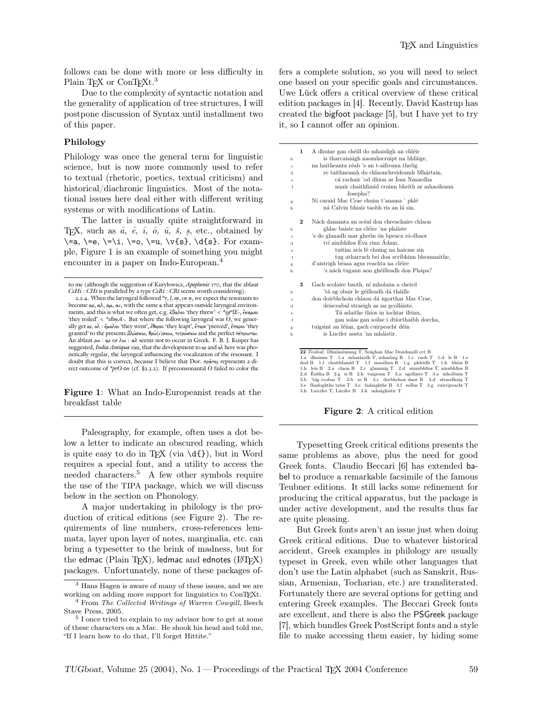follows can be done with more or less difficulty in Plain T<sub>EX</sub> or ConT<sub>E</sub>X<sub>t.</sub><sup>3</sup>

Due to the complexity of syntactic notation and the generality of application of tree structures, I will postpone discussion of Syntax until installment two of this paper.

#### Philology

Philology was once the general term for linguistic science, but is now more commonly used to refer to textual (rhetoric, poetics, textual criticism) and historical/diachronic linguistics. Most of the notational issues here deal either with different writing systems or with modifications of Latin.

The latter is usually quite straightforward in T<sub>E</sub>X, such as  $\bar{a}$ ,  $\bar{e}$ ,  $\bar{i}$ ,  $\bar{o}$ ,  $\bar{u}$ ,  $\tilde{s}$ ,  $s$ , etc., obtained by  $\setminus$ =a,  $\setminus$ = $\setminus$ i,  $\setminus$ =o,  $\setminus$ =u,  $\setminus$ s},  $\d{s}$ . For example, Figure 1 is an example of something you might encounter in a paper on Indo-European.<sup>4</sup>

Figure 1: What an Indo-Europeanist reads at the breakfast table

Paleography, for example, often uses a dot below a letter to indicate an obscured reading, which is quite easy to do in T<sub>E</sub>X (via  $\dagger$ ), but in Word requires a special font, and a utility to access the needed characters.<sup>5</sup> A few other symbols require the use of the TIPA package, which we will discuss below in the section on Phonology.

A major undertaking in philology is the production of critical editions (see Figure 2). The requirements of line numbers, cross-references lemmata, layer upon layer of notes, marginalia, etc. can bring a typesetter to the brink of madness, but for the edmac (Plain T<sub>EX</sub>), ledmac and ednotes ( $\text{LFT}(\text{EX})$ ) packages. Unfortunately, none of these packages offers a complete solution, so you will need to select one based on your specific goals and circumstances. Uwe Lück offers a critical overview of these critical edition packages in [4]. Recently, David Kastrup has created the bigfoot package [5], but I have yet to try it, so I cannot offer an opinion.

|             | 1.           | A dhuine gan chéill do mhaisligh an chléir                                                                                                                                                                                                                                |
|-------------|--------------|---------------------------------------------------------------------------------------------------------------------------------------------------------------------------------------------------------------------------------------------------------------------------|
| b           |              | is tharcaisnigh naomhscruipt na bhfáige,                                                                                                                                                                                                                                  |
| c           |              | na haitheanta réab 's an t-aifreann thréig                                                                                                                                                                                                                                |
| d           |              | re taithneamh do chlaonchreideamh Mhártain,                                                                                                                                                                                                                               |
| ė           |              | cá rachair 'od dhíon ar Íosa Nasardha                                                                                                                                                                                                                                     |
| f           |              | nuair chaithfimid cruinn bheith ar mhaoileann<br>Josepha?                                                                                                                                                                                                                 |
| g           |              | Ní caraid Mac Crae chuim t'anama ' phlé                                                                                                                                                                                                                                   |
| h           |              | ná Calvin bhiais taobh ris an lá sin.                                                                                                                                                                                                                                     |
|             | $\mathbf{2}$ | Nách damanta an scéal don chreachaire chlaon                                                                                                                                                                                                                              |
| b           |              | ghlac baiste na cléire 'na pháiste                                                                                                                                                                                                                                        |
| c           |              | 's do glanadh mar ghréin ón bpeaca ró-dhaor                                                                                                                                                                                                                               |
| d           |              | trí ainibhfios Éva rinn Ádam,                                                                                                                                                                                                                                             |
| e           |              | tuitim arís fé chuing na haicme sin                                                                                                                                                                                                                                       |
| f           |              | tug atharrach brí don scríbhinn bheannaithe,                                                                                                                                                                                                                              |
| g           |              | d'aistrigh béasa agus reachta na cléire                                                                                                                                                                                                                                   |
| h           |              | 's nách tugann aon ghéilleadh don Phápa?                                                                                                                                                                                                                                  |
|             | 3            | Gach scolaire baoth, ní mholaim a cheird                                                                                                                                                                                                                                  |
| b           |              | 'tá ag obair le géilleadh dá tháille                                                                                                                                                                                                                                      |
| $\mathbf c$ |              | don doirbhchoin chlaon dá ngorthar Mac Crae,                                                                                                                                                                                                                              |
| d           |              | deisceabal straeigh as an gcolláiste.                                                                                                                                                                                                                                     |
| ė           |              | Tá adaithe thíos in íochtar ifrinn,                                                                                                                                                                                                                                       |
| f           |              | gan solas gan soilse i dtíorthaibh dorcha,                                                                                                                                                                                                                                |
| g           |              | tuigsint an léinn, gach cuirpeacht déin                                                                                                                                                                                                                                   |
| h           |              | is Lucifer aosta 'na mháistir.                                                                                                                                                                                                                                            |
|             |              |                                                                                                                                                                                                                                                                           |
|             |              | 22 Teideal: Dhuinnluinng T, Seághan Mac Domhnaill cct B<br>1.a dhuinne T 1.a mhaslaidh T, mhaslaig B 1.c raob T 1.d le B 1.e<br>dod B 1.f chaithfamíd T 1.f maoilinn B 1.g phleidh T 1.h bhíos B<br>1.h leis B 2.a claon B 2.c glannuig T 2.d ainnibhfios T, ainnbhfios B |
|             |              | 2.d Éabha B 2.g is B 2.h tuigionn T 3.a sgollaire T 3.a mholluim T                                                                                                                                                                                                        |

 $3.b$  'tág ccobar T  $3.b$  re B  $3.c$  dorbhchon daor B  $3.d$  straodhaig 3.e fhadoghthe tsíos T 3.e fadaighthe B 3.f sollus T 3.g cuirripeacht T

Figure 2: A critical edition

Typesetting Greek critical editions presents the same problems as above, plus the need for good Greek fonts. Claudio Beccari [6] has extended babel to produce a remarkable facsimile of the famous Teubner editions. It still lacks some refinement for producing the critical apparatus, but the package is under active development, and the results thus far are quite pleasing.

But Greek fonts aren't an issue just when doing Greek critical editions. Due to whatever historical accident, Greek examples in philology are usually typeset in Greek, even while other languages that don't use the Latin alphabet (such as Sanskrit, Russian, Armenian, Tocharian, etc.) are transliterated. Fortunately there are several options for getting and entering Greek examples. The Beccari Greek fonts are excellent, and there is also the PSGreek package [7], which bundles Greek PostScript fonts and a style file to make accessing them easier, by hiding some

to me (although the suggestion of Kuryłowicz, Apophonie 170, that the ablaut

 $CeHi$ : CH $\bar{i}$  is paralleled by a type Ce $R\bar{i}$  : CR $\bar{i}$  seems worth considering).<br>2.2.4. When the laryngeal followed  $*r, l, m,$  or  $n$ , we expect the resonants to become αρ, αλ, αμ, αν, with the same α that appears outside laryngeal environ-<br>ments, and this is what we often get, e.g. *έβαλον* 'they threw' < \*egr<sup>y</sup>*lE*-, *έκαμον* 'they toiled' <  $*$ e $kmA$ -. But where the following laryngeal was  $O$ , we generally get ορ, ολ : ἔμολον 'they went', ἔθορον 'they leapt', ἔτορε 'pierced', ἔπορον 'they granted' to the presents βλώσκω, θρώ(ι)σκω, τιτρώσκω and the perfect πέπρωται.<br>An ablaut ρω : αρ or λω : αλ seems not to occur in Greek. F. B. J. Kuiper has suggested, *India Antiqua* 199, that the development to *op* and *oλ* here was phonetically regular, the laryngeal influencing the vocalization of the resonant. I doubt that this is correct, because I believe that Dor.  $\pi \circ \hat{a} \tau \circ \epsilon$  represents a direct outcome of \*prO-tos (cf. §2.3.2). If preconsonantal O failed to color the

<sup>&</sup>lt;sup>3</sup> Hans Hagen is aware of many of these issues, and we are working on adding more support for linguistics to ConTEXt. <sup>4</sup> From The Collected Writings of Warren Cowgill, Beech

Stave Press, 2005. 5 I once tried to explain to my advisor how to get at some

of these characters on a Mac. He shook his head and told me, "If I learn how to do that, I'll forget Hittite."

<sup>3.</sup>h Luicifer T, Lúcifer B 3.h mhaighistir T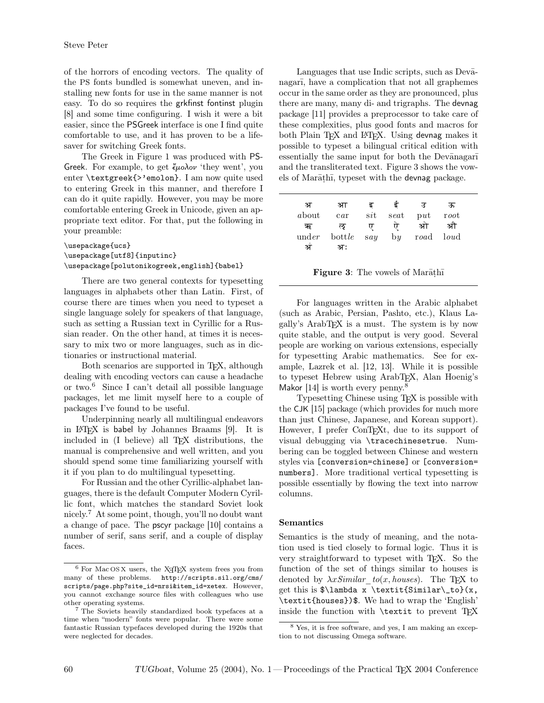of the horrors of encoding vectors. The quality of the PS fonts bundled is somewhat uneven, and installing new fonts for use in the same manner is not easy. To do so requires the grkfinst fontinst plugin [8] and some time configuring. I wish it were a bit easier, since the PSGreek interface is one I find quite comfortable to use, and it has proven to be a lifesaver for switching Greek fonts.

The Greek in Figure 1 was produced with PS-Greek. For example, to get  $\mu_0 \lambda_0 v$  'they went', you enter \textgreek{>'emolon}. I am now quite used to entering Greek in this manner, and therefore I can do it quite rapidly. However, you may be more comfortable entering Greek in Unicode, given an appropriate text editor. For that, put the following in your preamble:

### \usepackage{ucs} \usepackage[utf8]{inputinc} \usepackage[polutonikogreek,english]{babel}

There are two general contexts for typesetting languages in alphabets other than Latin. First, of course there are times when you need to typeset a single language solely for speakers of that language, such as setting a Russian text in Cyrillic for a Russian reader. On the other hand, at times it is necessary to mix two or more languages, such as in dictionaries or instructional material.

Both scenarios are supported in T<sub>E</sub>X, although dealing with encoding vectors can cause a headache or two.<sup>6</sup> Since I can't detail all possible language packages, let me limit myself here to a couple of packages I've found to be useful.

Underpinning nearly all multilingual endeavors in LATEX is babel by Johannes Braams [9]. It is included in (I believe) all T<sub>EX</sub> distributions, the manual is comprehensive and well written, and you should spend some time familiarizing yourself with it if you plan to do multilingual typesetting.

For Russian and the other Cyrillic-alphabet languages, there is the default Computer Modern Cyrillic font, which matches the standard Soviet look nicely.<sup>7</sup> At some point, though, you'll no doubt want a change of pace. The pscyr package [10] contains a number of serif, sans serif, and a couple of display faces.

Languages that use Indic scripts, such as Devanagari, have a complication that not all graphemes occur in the same order as they are pronounced, plus there are many, many di- and trigraphs. The devnag package [11] provides a preprocessor to take care of these complexities, plus good fonts and macros for both Plain T<sub>F</sub>X and L<sup>AT</sup>F<sub>X</sub>. Using devnag makes it possible to typeset a bilingual critical edition with essentially the same input for both the Devanagari and the transliterated text. Figure 3 shows the vowels of Mar $\bar{a}$ th $\bar{b}$ , typeset with the devnag package.

| अ     | आ          | ड              | `ड                      | ਤ                | ऊ                     |
|-------|------------|----------------|-------------------------|------------------|-----------------------|
| about | car        | $s$ <i>i</i> t | seat                    | $\mathbf{p} u$ t | $\operatorname{root}$ |
| ऋ     | ऌ          | ए              | ᡛ                       | आे               | औ                     |
| under | bottle say |                | $\mathbf{b} \mathbf{u}$ | road loud        |                       |
| अ     | आः         |                |                         |                  |                       |

**Figure 3:** The vowels of Mar $\bar{a}$ th $\bar{a}$ 

For languages written in the Arabic alphabet (such as Arabic, Persian, Pashto, etc.), Klaus Lagally's ArabTEX is a must. The system is by now quite stable, and the output is very good. Several people are working on various extensions, especially for typesetting Arabic mathematics. See for example, Lazrek et al. [12, 13]. While it is possible to typeset Hebrew using ArabT<sub>EX</sub>, Alan Hoenig's Makor [14] is worth every penny.<sup>8</sup>

Typesetting Chinese using TEX is possible with the CJK [15] package (which provides for much more than just Chinese, Japanese, and Korean support). However, I prefer ConT<sub>E</sub>Xt, due to its support of visual debugging via \tracechinesetrue. Numbering can be toggled between Chinese and western styles via [conversion=chinese] or [conversion= numbers]. More traditional vertical typesetting is possible essentially by flowing the text into narrow columns.

### Semantics

Semantics is the study of meaning, and the notation used is tied closely to formal logic. Thus it is very straightforward to typeset with TEX. So the function of the set of things similar to houses is denoted by  $\lambda x Similar$  to  $(x, houses)$ . The TEX to get this is  $\lambda x \text{Similar}\to 0(x,$ \textit{houses})\$. We had to wrap the 'English' inside the function with  $\text{text}$  to prevent TFX

 $6$  For Mac OS X users, the X<sub>T</sub>T<sub>F</sub>X system frees you from many of these problems. http://scripts.sil.org/cms/ scripts/page.php?site\_id=nrsi&item\_id=xetex. However, you cannot exchange source files with colleagues who use other operating systems.

<sup>7</sup> The Soviets heavily standardized book typefaces at a time when "modern" fonts were popular. There were some fantastic Russian typefaces developed during the 1920s that were neglected for decades.

<sup>8</sup> Yes, it is free software, and yes, I am making an exception to not discussing Omega software.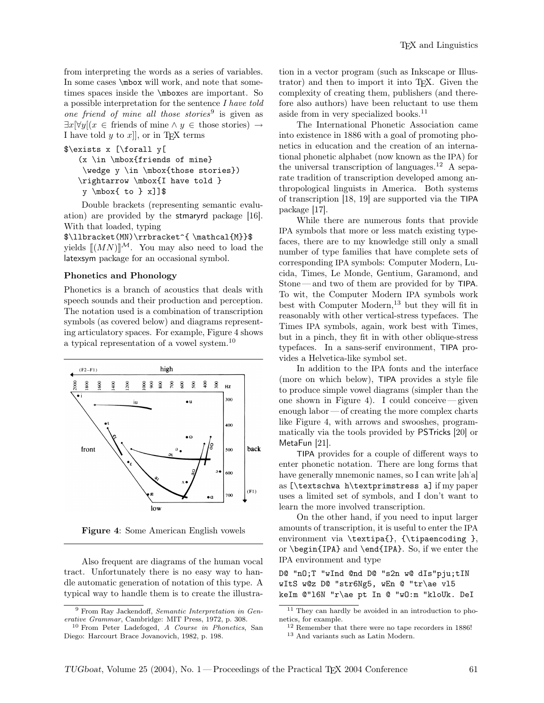from interpreting the words as a series of variables. In some cases \mbox will work, and note that sometimes spaces inside the \mboxes are important. So a possible interpretation for the sentence I have told one friend of mine all those stories<sup>9</sup> is given as  $\exists x[\forall y[(x \in \text{friends of mine} \land y \in \text{those stories}) \rightarrow$ I have told  $y$  to  $x$ ], or in T<sub>E</sub>X terms

```
$\exists x [\forall y[
   (x \in \mbox{friends of mine}\wedge y \in \mbox{those stories})
   \rightarrow \mbox{I have told }
    y \mbox{ to } x]]$
```
Double brackets (representing semantic evaluation) are provided by the stmaryrd package [16]. With that loaded, typing

\$\llbracket(MN)\rrbracket^{ \mathcal{M}}\$ yields  $\llbracket (MN) \rrbracket^{\mathcal{M}}$ . You may also need to load the latexsym package for an occasional symbol.

#### Phonetics and Phonology

Phonetics is a branch of acoustics that deals with speech sounds and their production and perception. The notation used is a combination of transcription symbols (as covered below) and diagrams representing articulatory spaces. For example, Figure 4 shows a typical representation of a vowel system.<sup>10</sup>



Figure 4: Some American English vowels

Also frequent are diagrams of the human vocal tract. Unfortunately there is no easy way to handle automatic generation of notation of this type. A typical way to handle them is to create the illustration in a vector program (such as Inkscape or Illustrator) and then to import it into TEX. Given the complexity of creating them, publishers (and therefore also authors) have been reluctant to use them aside from in very specialized books.<sup>11</sup>

The International Phonetic Association came into existence in 1886 with a goal of promoting phonetics in education and the creation of an international phonetic alphabet (now known as the IPA) for the universal transcription of languages.<sup>12</sup> A separate tradition of transcription developed among anthropological linguists in America. Both systems of transcription [18, 19] are supported via the TIPA package [17].

While there are numerous fonts that provide IPA symbols that more or less match existing typefaces, there are to my knowledge still only a small number of type families that have complete sets of corresponding IPA symbols: Computer Modern, Lucida, Times, Le Monde, Gentium, Garamond, and Stone — and two of them are provided for by TIPA. To wit, the Computer Modern IPA symbols work best with Computer Modern,<sup>13</sup> but they will fit in reasonably with other vertical-stress typefaces. The Times IPA symbols, again, work best with Times, but in a pinch, they fit in with other oblique-stress typefaces. In a sans-serif environment, TIPA provides a Helvetica-like symbol set.

In addition to the IPA fonts and the interface (more on which below), TIPA provides a style file to produce simple vowel diagrams (simpler than the one shown in Figure 4). I could conceive — given enough labor— of creating the more complex charts like Figure 4, with arrows and swooshes, programmatically via the tools provided by PSTricks [20] or MetaFun [21].

TIPA provides for a couple of different ways to enter phonetic notation. There are long forms that have generally mnemonic names, so I can write [əh'a] as [\textschwa h\textprimstress a] if my paper uses a limited set of symbols, and I don't want to learn the more involved transcription.

On the other hand, if you need to input larger amounts of transcription, it is useful to enter the IPA environment via \textipa{}, {\tipaencoding }, or \begin{IPA} and \end{IPA}. So, if we enter the IPA environment and type

D@ "nO;T "wInd @nd D@ "s2n w@ dIs"pju;tIN wItS w@z D@ "str6Ng5, wEn @ "tr\ae vl5 keIm @"l6N "r\ae pt In @ "wO:m "kloUk. DeI

<sup>9</sup> From Ray Jackendoff, Semantic Interpretation in Generative Grammar, Cambridge: MIT Press, 1972, p. 308.

 $10$  From Peter Ladefoged, A Course in Phonetics, San Diego: Harcourt Brace Jovanovich, 1982, p. 198.

<sup>11</sup> They can hardly be avoided in an introduction to phonetics, for example.

<sup>12</sup> Remember that there were no tape recorders in 1886!

 $^{13}$  And variants such as Latin Modern.